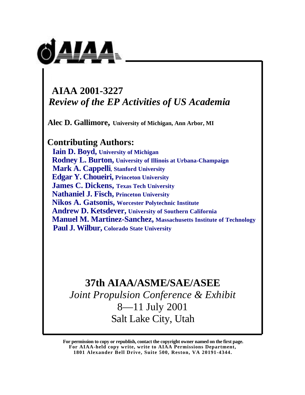

# **AIAA 2001-3227**  *Review of the EP Activities of US Academia*

 **Alec D. Gallimore, University of Michigan, Ann Arbor, MI**

 **Contributing Authors: Iain D. Boyd, University of Michigan Rodney L. Burton, University of Illinois at Urbana-Champaign Mark A. Cappelli, Stanford University Edgar Y. Choueiri, Princeton University James C. Dickens, Texas Tech University Nathaniel J. Fisch, Princeton University Nikos A. Gatsonis, Worcester Polytechnic Institute Andrew D. Ketsdever, University of Southern California Manuel M. Martinez-Sanchez, Massachusetts Institute of Technology Paul J. Wilbur, Colorado State University**

# **37th AIAA/ASME/SAE/ASEE**

*Joint Propulsion Conference & Exhibit* 8—11 July 2001 Salt Lake City, Utah

**For permission to copy or republish, contact the copyright owner named on the first page. For AIAA-held copy write, write to AIAA Permissions Department, 1801 Alexander Bell Drive, Suite 500, Reston, VA 20191-4344.**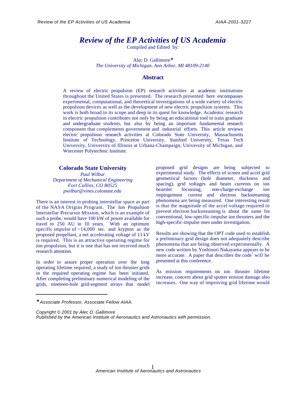# *Review of the EP Activities of US Academia*

Compiled and Edited by:

Alec D. Gallimore *The University of Michigan, Ann Arbor, MI 48109-2140*

#### **Abstract**

A review of electric propulsion (EP) research activities at academic institutions throughout the United States is presented. The research presented here encompasses experimental, computational, and theoretical investigations of a wide variety of electric propulsion devices as well as the development of new electric propulsion systems. This work is both broad in its scope and deep in its quest for knowledge. Academic research in electric propulsion contributes not only by being an educational tool to train graduate and undergraduate students, but also by being an important fundamental research component that complements government and industrial efforts. This article reviews electric propulsion research activities at Colorado State University, Massachusetts Institute of Technology, Princeton University, Stanford University, Texas Tech University, University of Illinois at Urbana-Champaign, University of Michigan, and Worcester Polytechnic Institute.

# **Colorado State University**

*Paul Wilbur Department of Mechanical Engineering Fort Collins, CO 80525 pwilbur@vines.colostate.edu*

There is an interest in probing interstellar space as part of the NASA Origins Program. The Ion Propulsion Interstellar Precursor Mission, which is an example of such a probe, would have 100 kW of power available for travel to 250 AU in 10 years. With an optimum specific impulse of  $\sim$ 14,000 sec. and krypton as the proposed propellant, a net accelerating voltage of 13 kV is required. This is an attractive operating regime for ion propulsion, but it is one that has not received much research attention.

In order to assure proper operation over the long operating lifetime required, a study of ion thruster grids in the required operating regime has been initiated. After completing preliminary numerical modeling of the grids, nineteen-hole grid-segment arrays that model

proposed grid designs are being subjected to experimental study. The effects of screen and accel grid geometrical factors (hole diameter, thickness and spacing), grid voltages and beam currents on ion beamlet focussing, non-charge-exchange ion impingement current and electron backstreaming phenomena are being measured. One interesting result is that the magnitude of the accel voltage required to prevent electron backstreaming is about the same for conventional, low-specific-impulse ion thrusters and the high-specific-impulse ones under investigation.

Results are showing that the OPT code used to establish a preliminary grid design does not adequately describe phenomena that are being observed experimentally. A new code written by Yoshinori Nakayama appears to be more accurate. A paper that describes the code<sup>1</sup> will be presented at this conference.

As mission requirements on ion thruster lifetime increase, concern about grid sputter erosion damage also increases. One way of improving grid lifetime would

*Copyright © 2001 by Alec D. Gallimore*

j

*Associate Professor, Associate Fellow AIAA.*

*Published by the American Institute of Aeronautics and Astronautics with permission.*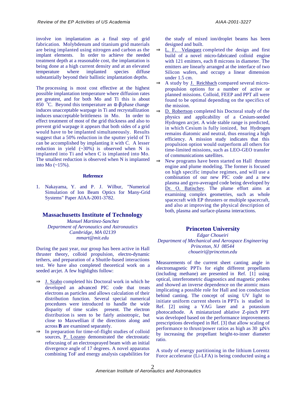involve ion implantation as a final step of grid fabrication. Molybdenum and titanium grid materials are being implanted using nitrogen and carbon as the implant elements. In order to achieve the needed treatment depth at a reasonable cost, the implantation is being done at a high current density and at an elevated<br>temperature where implanted species diffuse temperature where implanted species diffuse substantially beyond their ballistic implantation depths.

The processing is most cost effective at the highest possible implantation temperature where diffusion rates are greatest, and for both Mo and Ti this is about 850  $^{\circ}$ C. Beyond this temperature an - phase change induces unacceptable warpage in Ti and recrystallization induces unacceptable brittleness in Mo. In order to effect treatment of most of the grid thickness and also to prevent grid warpage it appears that both sides of a grid would have to be implanted simultaneously. Results suggest that a 50% reduction in the sputter yield of Ti can be accomplished by implanting it with C. A lesser reduction in yield  $(-30\%)$  is observed when N is implanted into Ti and when C is implanted into Mo. The smallest reduction is observed when N is implanted into Mo (~15%).

#### **Reference**

1. Nakayama, Y. and P. J. Wilbur, "Numerical Simulation of Ion Beam Optics for Many-Grid Systems" Paper AIAA-2001-3782.

# **Massachusetts Institute of Technology**

*Manuel Martinez-Sanchez Department of Aeronautics and Astronautics Cambridge, MA 02139 mmart@mit.edu*

During the past year, our group has been active in Hall thruster theory, colloid propulsion, electro-dynamic tethers, and preparation of a Shuttle-based interactions test. We have also completed theoretical work on a seeded arcjet. A few highlights follow:

J. Szabo completed his Doctoral work in which he developed an advanced PIC code that treats electrons as particles and allows calculation of their distribution function. Several special numerical procedures were introduced to handle the wide disparity of time scales present. The electron distribution is seen to be fairly anisotropic, but close to Maxwellian if the directions along and across **B** are examined separately.

In preparation for time-of-flight studies of colloid sources, P. Lozano demonstrated the electrostatic refocusing of an electrosprayed beam with an initial divergence angle of 17 degrees. A novel apparatus combining ToF and energy analysis capabilities for

the study of mixed ion/droplet beams has been designed and built.

 L. F. Velasquez completed the design and first build of a novel micro-fabricated colloid engine with 121 emitters, each 8 microns in diameter. The emitters are linearly arranged at the interface of two Silicon wafers, and occupy a linear dimension under 1.5 cm.

A study by J. Reichbach compared several micropropulsion options for a number of active or planned missions. Colloid, FEEP and PPT all were found to be optimal depending on the specifics of the mission.

 D. Robertson completed his Doctoral study of the physics and applicability of a Cesium-seeded Hydrogen arcjet. A wide stable range is predicted, in which Cesium is fully ionized, but Hydrogen remains diatomic and neutral, thus ensuring a high efficiency. A mission study indicates that this propulsion option would outperform all others for time-limited missions, such as LEO-GEO transfer of communications satellites.

New programs have been started on Hall thruster engine and plume modeling. The former is focused on high specific impulse regimes, and will use a combination of our new PIC code and a new plasma and gyro-averaged code being developed by Dr. O. Batischev. The plume effort aims at examining complex geometries, such as whole spacecraft with EP thrusters or multiple spacecraft, and also at improving the physical description of both, plasma and surface-plasma interactions.

# **Princeton University**

*Edgar Choueiri Department of Mechanical and Aerospace Engineering Princeton, NJ 08544 choueiri@princeton.edu*

Measurements of the current sheet canting angle in electromagnetic PPTs for eight different propellants (including methane) are presented in Ref. [1] using optical, interferometric diagnostics and magnetic probes and showed an inverse dependence on the atomic mass implicating a possible role for Hall and ion conduction behind canting. The concept of using UV light to initiate uniform current sheets in PPTs is studied in Ref. [2] using a YAG laser and a potassium photocathode. A miniaturized ablative Z-pinch PPT was developed based on the performance improvements prescriptions developed in Ref. [3] that allow scaling of performance to thrust/power ratios as high as 30 μN/s by increasing the propellant height-to-inner diameter ratio.

A study of energy partitioning in the lithium Lorentz Force accelerator (Li-LFA) is being conducted using a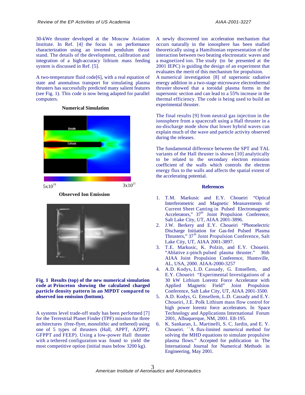30-kWe thruster developed at the Moscow Aviation Institute. In Ref. [4] the focus is on performance characterization using an inverted pendulum thrust stand. The details of the development, calibration and integration of a high-accuracy lithium mass feeding system is discussed in Ref. [5].

A two-temperature fluid code[6], with a real equation of state and anomalous transport for simulating plasma thrusters has successfully predicted many salient features (see Fig. 1). This code is now being adapted for parallel computers.

#### **Numerical Simulation**



**Observed Ion Emission**



**Fig. 1 Results (top) of the new numerical simulation code at Princeton showing the calculated charged particle density pattern in an MPDT compared to observed ion emission (bottom).**

A systems level trade-off study has been performed [7] for the Terrestrial Planet Finder (TPF) mission for three architectures (free-flyer, monolithic and tethered) using one of 5 types of thrusters (Hall, APPT, AZPPT, GFPPT and FEEP). Using a low-power Hall thruster with a tethered configuration was found to yield the most competitive option (initial mass below 3200 kg).

A newly discovered ion acceleration mechanism that occurs naturally in the ionosphere has been studied theoretically using a Hamiltonian representation of the interaction between two beating electrostatic waves and a magnetized ion. The study (to be presented at the 2001 IEPC) is guiding the design of an experiment that evaluates the merit of this mechanism for propulsion.

A numerical investigation [8] of supersonic radiative energy addition in a two-stage microwave electrothermal thruster showed that a toroidal plasma forms in the supersonic section and can lead to a 55% increase in the thermal efficiency. The code is being used to build an experimental thruster.

The final results [9] from neutral gas injection in the ionosphere from a spacecraft using a Hall thruster in a no-discharge mode show that lower hybrid waves can explain much of the wave and particle activity observed during the releases.

The fundamental difference between the SPT and TAL variants of the Hall thruster is shown [10] analytically to be related to the secondary electron emission coefficient of the walls which controls the electron energy flux to the walls and affects the spatial extent of the accelerating potential.

#### **References**

- 1. T.M. Markusic and E.Y. Choueiri "Optical Interferometric and Magnetic Measurements of Current Sheet Canting in Pulsed Electromagnetic Accelerators,"  $37<sup>th</sup>$  Joint Propulsion Conference, Salt Lake City, UT, AIAA 2001-3896.
- 2. J.W. Berkery and E.Y. Choueiri "Photoelectric Discharge Initiation for Gas-fed Pulsed Plasma Thrusters," 37<sup>th</sup> Joint Propulsion Conference, Salt Lake City, UT, AIAA 2001-3897.
- 3. T.E. Markusic, K. Polzin, and E.Y. Choueiri. "Ablative z-pinch pulsed plasma thruster." 36th AIAA Joint Propulsion Conference, Huntsville, AL, USA, 2000. AIAA-2000-3257
- 4. A.D. Kodys, L.D. Cassady, G. Emsellem, and E.Y. Choueiri "Experimental Investigations of a 30 kW Lithium Lorentz Force Accelerator with Applied Magnetic Field" Joint Propulsion Conference, Salt Lake City, UT, AIAA 2001-3500.
- 5. A.D. Kodys, G. Emsellem, L.D. Cassady and E.Y. Choueiri, J.E. Polk Lithium mass flow control for high power lorentz force accelerators. In Space Technology and Applications International Forum 2001, Albuquerque, NM, 2001. E8-195.
- 6. K. Sankaran, L. Martinelli, S. C. Jardin, and E. Y. Choueiri. ``A flux-limited numerical method for solving the MHD equations to simulate propulsive plasma flows." Accepted for publication in The International Journal for Numerical Methods in Engineering, May 2001.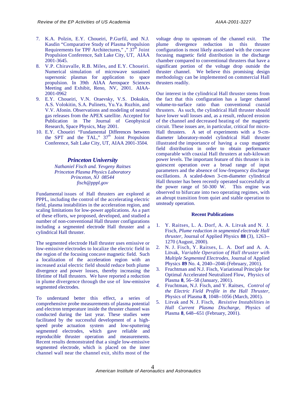- 7. K.A. Polzin, E.Y. Choueiri, P.Gurfil, and N.J. Kasdin "Comparative Study of Plasma Propulsion Requirements for TPF Architectures," ,"  $37<sup>th</sup>$  Joint Propulsion Conference, Salt Lake City, UT, AIAA 2001-3645.
- 8. V.P. Chiravalle, R.B. Miles, and E.Y. Choueiri. Numerical simulation of microwave sustained supersonic plasmas for application to space propulsion. In 39th AIAA Aerospace Sciences Meeting and Exhibit, Reno, NV, 2001. AIAA-2001-0962
- 9. E.Y. Choueiri, V.N. Oraevsky, V.S. Dokukin, A.S. Volokitin, S.A. Pulinets, Yu.Ya. Ruzhin, and V.V. Afonin. Observations and modeling of neutral gas releases from the APEX satellite. Accepted for Publication in The Journal of Geophysical Research, Space Physics, May 2001.
- 10. E.Y. Choueiri "Fundamental Differences between the SPT and the TAL,"  $37<sup>th</sup>$  Joint Propulsion Conference, Salt Lake City, UT, AIAA 2001-3504.

# *Princeton University*

*Nathaniel Fisch and. Yevgeny Raitses Princeton Plasma Physics Laboratory Princeton, NJ 08544 fisch@pppl.gov*

Fundamental issues of Hall thrusters are explored at PPPL, including the control of the accelerating electric field, plasma instabilities in the acceleration region, and scaling limitations for low-power applications. As a part of these efforts, we proposed, developed, and studied a number of non-conventional Hall thruster configurations including a segmented electrode Hall thruster and a cylindrical Hall thruster.

The segmented electrode Hall thruster uses emissive or low-emissive electrodes to localize the electric field in the region of the focusing concave magnetic field. Such a localization of the acceleration region with an increased axial electric field should reduce both plume divergence and power losses, thereby increasing the lifetime of Hall thrusters. We have reported a reduction in plume divergence through the use of low-emissive segmented electrodes.

To understand better this effect, a series of comprehensive probe measurements of plasma potential and electron temperature inside the thruster channel was conducted during the last year. These studies were facilitated by the successful development of a highspeed probe actuation system and low-sputtering segmented electrodes, which gave reliable and reproducible thruster operation and measurements. Recent results demonstrated that a single low-emissive segmented electrode, which is placed on the inner channel wall near the channel exit, shifts most of the

voltage drop to upstream of the channel exit. The plume divergence reduction in this thruster configuration is most likely associated with the concave focusing magnetic field distribution in the discharge chamber compared to conventional thrusters that have a significant portion of the voltage drop outside the thruster channel. We believe this promising design methodology can be implemented on commercial Hall thrusters readily.

Our interest in the cylindrical Hall thruster stems from the fact that this configuration has a larger channel volume-to-surface ratio than conventional coaxial thrusters. As such, the cylindrical Hall thruster should have lower wall losses and, as a result, reduced erosion of the channel and decreased heating of the magnetic circuit. These issues are, in particular, critical for micro-Hall thrusters. A set of experiments with a 9-cmdiameter laboratory-model cylindrical Hall thruster illustrated the importance of having a cusp magnetic field distribution in order to obtain performance comparable with coaxial Hall thrusters at sub-kilowatt power levels. The important feature of this thruster is its quiescent operation over a broad range of input parameters and the absence of low-frequency discharge oscillations. A scaled-down 3-cm-diameter cylindrical Hall thruster has been recently operated successfully at the power range of 50-300 W. This engine was observed to bifurcate into two operating regimes, with an abrupt transition from quiet and stable operation to unsteady operation.

# **Recent Publications**

- 1. Y. Raitses, L. A. Dorf, A. A. Litvak and N. J. Fisch, *Plume reduction in segmented electrode Hall thruster,* Journal of Applied Physics **88** (3), 1263-- 1270 (August, 2000).
- 2. N. J. Fisch, Y. Raitses, L. A. Dorf and A. A. Litvak, *Variable Operation of Hall thruster with Multiple Segmented Electrodes,* Journal of Applied Physics **89** No. 4, 2040--2046 (February, 2001).
- 3. Fruchtman and N.J. Fisch, Variational Principle for Optimal Accelerated Neutralized Flow, Physics of Plasma **8**, 56--58 (January, 2001).
- *4.* Fruchtman, N.J. Fisch, and Y. Raitses, *Control of the Electric Field Profile in the Hall Thruster,* Physics of Plasma **8**, 1048--1056 (March, 2001).
- 5. Litvak and N. J. Fisch, *Resistive Instabilities in Hall Current Plasma Discharge,* Physics of Plasma **8**, 648--651 (February, 2001).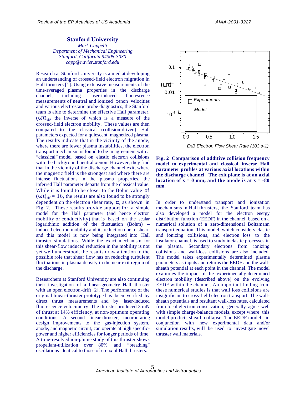# **Stanford University**

*Mark Cappelli Department of Mechanical Engineering Stanford, California 94305-3030 capp@navier.stanford.edu*

Research at Stanford University is aimed at developing an understanding of crossed-field electron migration in Hall thrusters [1]. Using extensive measurements of the time-averaged plasma properties in the discharge channel, including laser-induced fluorescence measurements of neutral and ionized xenon velocities and various electrostatic probe diagnostics, the Stanford team is able to determine the effective Hall parameter,  $\left(\begin{array}{c}\right)_{\text{eff}}$  the inverse of which is a measure of the crossed-field electron mobility. These values are then compared to the classical (collision-driven) Hall parameters expected for a quiescent, magnetized plasma. The results indicate that in the vicinity of the anode, where there are fewer plasma instabilities, the electron transport mechanism is found to be in agreement with a "classical" model based on elastic electron collisions with the background neutral xenon. However, they find that in the vicinity of the discharge channel exit, where the magnetic field is the strongest and where there are intense fluctuations in the plasma properties, the inferred Hall parameter departs from the classical value. While it is found to be closer to the Bohm value of  $e_{\text{eff}} = 16$ , the results are also found to be strongly dependent on the electron shear rate, , as shown in Fig. 2. These results provide support for a simple model for the Hall parameter (and hence electron mobility or conductivity) that is based on the scalar logarithmic addition of the fluctuation (Bohm) – induced electron mobility and its reduction due to shear, and this model is now being integrated into Hall thruster simulations. While the exact mechanism for this shear-flow induced reduction in the mobility is not yet well understood, the results draw attention to the possible role that shear flow has on reducing turbulent fluctuations in plasma density in the near exit region of the discharge.

Researchers at Stanford University are also continuing their investigation of a linear-geometry Hall thruster with an open electron-drift [2]. The performance of the original linear-thruster prototype has been verified by direct thrust measurements and by laser-induced fluorescence velocimetry. The thruster produced 3 mN of thrust at 14% efficiency, at non-optimum operating conditions. A second linear-thruster, incorporating design improvements to the gas-injection system, anode, and magnetic circuit, can operate at high specificpower and higher efficiencies for longer periods of time. A time-resolved ion-plume study of this thruster shows propellant-utilization over 80% and "breathing" oscillations identical to those of co-axial Hall thrusters.



*E x B* Electron Flow Shear Rate (10<sup>8</sup> s-1) *ExB Electron Flow Shear Rate (103 s-1)*

**Fig. 2 Comparison of additive collision frequency model to experimental and classical inverse Hall parameter profiles at various axial locations within the discharge channel. The exit plane is at an axial location of**  $x = 0$  **mm, and the anode is at**  $x = -80$ **mm.**

In order to understand transport and ionization mechanisms in Hall thrusters, the Stanford team has also developed a model for the electron energy distribution function (EEDF) in the channel, based on a numerical solution of a zero-dimensional Boltzmann transport equation. This model, which considers elastic and ionizing collisions, and electron loss to the insulator channel, is used to study inelastic processes in the plasma. Secondary electrons from ionizing collisions and wall-loss collisions are also included. The model takes experimentally determined plasma parameters as inputs and returns the EEDF and the wallsheath potential at each point in the channel. The model examines the impact of the experimentally-determined electron mobility (described above) on the evolving EEDF within the channel. An important finding from these numerical studies is that wall loss collisions are insignificant to cross-field electron transport. The wallsheath potentials and resultant wall-loss rates, calculated from local electron conservation, generally agree well with simple charge-balance models, except where this model predicts sheath collapse. The EEDF model, in conjunction with new experimental data and/or simulation results, will be used to investigate novel thruster wall materials.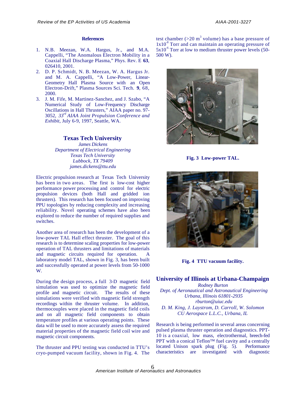# **References**

- 1. N.B. Meezan, W.A. Hargus, Jr., and M.A. Cappelli, "The Anomalous Electron Mobility in a Coaxial Hall Discharge Plasma," Phys. Rev. E **63**, 026410, 2001.
- 2. D. P. Schmidt, N. B. Meezan, W. A. Hargus Jr. and M. A. Cappelli, "A Low-Power, Linear-Geometry Hall Plasma Source with an Open Electron-Drift," Plasma Sources Sci. Tech. **9**, 68, 2000.
- 3. J. M. Fife, M. Martinez-Sanchez, and J. Szabo, "A Numerical Study of Low-Frequency Discharge Oscillations in Hall Thrusters," AIAA paper no. 97- 3052, *33rd AIAA Joint Propulsion Conference and Exhibit*, July 6-9, 1997, Seattle, WA.

# **Texas Tech University**

*James Dickens Department of Electrical Engineering Texas Tech University Lubbock, TX 79409 james.dickens@ttu.edu*

Electric propulsion research at Texas Tech University has been in two areas. The first is low-cost higher performance power processing and control for electric propulsion devices (both Hall and gridded ion thrusters). This research has been focused on improving PPU topologies by reducing complexity and increasing reliability. Novel operating schemes have also been explored to reduce the number of required supplies and switches.

Another area of research has been the development of a low-power TAL Hall effect thruster. The goal of this research is to determine scaling properties for low-power operation of TAL thrusters and limitations of materials and magnetic circuits required for operation. A laboratory model TAL, shown in Fig. 3, has been built and successfully operated at power levels from 50-1000 W.

During the design process, a full 3-D magnetic field simulation was used to optimize the magnetic field profile and magnetic circuit. The results of these profile and magnetic circuit. simulations were verified with magnetic field strength recordings within the thruster volume. In addition, thermocouples were placed in the magnetic field coils and on all magnetic field components to obtain temperature profiles at various operating points. These data will be used to more accurately assess the required material properties of the magnetic field coil wire and magnetic circuit components.

The thruster and PPU testing was conducted in TTU's cryo-pumped vacuum facility, shown in Fig. 4. The

test chamber ( $>$ 20 m<sup>3</sup> volume) has a base pressure of  $1x10<sup>-8</sup>$  Torr and can maintain an operating pressure of  $5x10^{-6}$  Torr at low to medium thruster power levels (50-500 W).



**Fig. 3 Low-power TAL.**



**Fig. 4 TTU vacuum facility.**

# **University of Illinois at Urbana-Champaign**

*Rodney Burton Dept. of Aeronautical and Astronautical Engineering Urbana, Illinois 61801-2935 rburton@uiuc.edu D. M. King, J. Laystrom, D. Carroll, W. Solomon CU Aerospace L.L.C., Urbana, IL*

Research is being performed in several areas concerning pulsed plasma thruster operation and diagnostics. PPT-10 is a coaxial, low mass, electrothermal, breech-fed PPT with a conical Teflon<sup>™</sup> fuel cavity and a centrally located Unison spark plug (Fig. 5). Performance characteristics are investigated with diagnostic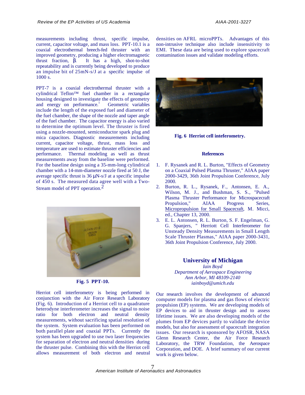measurements including thrust, specific impulse, current, capacitor voltage, and mass loss. PPT-10.1 is a coaxial electrothermal breech-fed thruster with an improved geometry, producing a higher electromagnetic<br>thrust fraction, It has a high, shot-to-shot It has a high, shot-to-shot repeatability and is currently being developed to produce an impulse bit of 25mN-s/J at a specific impulse of 1000 s.

PPT-7 is a coaxial electrothermal thruster with a cylindrical Teflon™ fuel chamber in a rectangular housing designed to investigate the effects of geometry<br>and energy on performance.<sup>1</sup> Geometric variables and energy on performance.<sup>1</sup> include the length of the exposed fuel and diameter of the fuel chamber, the shape of the nozzle and taper angle of the fuel chamber. The capacitor energy is also varied to determine the optimum level. The thruster is fired using a nozzle-mounted, semiconductor spark plug and mica capacitors. Diagnostic measurements including current, capacitor voltage, thrust, mass loss and temperature are used to estimate thruster efficiencies and performance. Thermal modeling as well as thrust measurements away from the baseline were performed. For the baseline design using a 35-mm-long cylindrical chamber with a 14-mm-diameter nozzle fired at 50 J, the average specific thrust is  $36 \mu$ N-s/J at a specific impulse of 450 s. The measured data agree well with a Two-Stream model of PPT operation.2



**Fig. 5 PPT-10.**

Herriot cell interferometry is being performed in conjunction with the Air Force Research Laboratory (Fig. 6). Introduction of a Herriot cell to a quadrature heterodyne interferometer increases the signal to noise ratio for both electron and neutral density measurements, without sacrificing spatial resolution of the system. System evaluation has been performed on both parallel plate and coaxial PPTs. Currently the system has been upgraded to use two laser frequencies for separation of electron and neutral densities during the thruster pulse. Combining this with the Herriot cell allows measurement of both electron and neutral

densities on AFRL microPPTs. Advantages of this non-intrusive technique also include insensitivity to EMI. These data are being used to explore spacecraft contamination issues and validate modeling efforts.



**Fig. 6 Herriot cell inteferometry.**

#### **References**

- 1. F. Rysanek and R. L. Burton, "Effects of Geometry on a Coaxial Pulsed Plasma Thruster," AIAA paper 2000-3429, 36th Joint Propulsion Conference, July 2000.
- 2. Burton, R. L., Rysanek, F., Antonsen, E. A., Wilson, M. J., and Bushman, S. S., "Pulsed Plasma Thruster Performance for Microspacecraft Propulsion," AIAA Progress Series, Micropropulsion for Small Spacecraft, M. Micci, ed., Chapter 13, 2000.
- 3. E. L. Antonsen, R. L. Burton, S. F. Engelman, G. G. Spanjers, " Herriott Cell Interferometer for Unsteady Density Measurements in Small Length Scale Thruster Plasmas," AIAA paper 2000-3431, 36th Joint Propulsion Conference, July 2000.

# **University of Michigan** *Iain Boyd*

*Department of Aerospace Engineering Ann Arbor, MI 48109-2140 iainboyd@umich.edu*

Our research involves the development of advanced computer models for plasma and gas flows of electric propulsion (EP) systems. We are developing models of EP devices to aid in thruster design and to assess lifetime issues. We are also developing models of the plumes from EP devices partly to validate the device models, but also for assessment of spacecraft integration issues. Our research is sponsored by AFOSR, NASA Glenn Research Center, the Air Force Research Laboratory, the TRW Foundation, the Aerospace Corporation, and DOE. A brief summary of our current work is given below.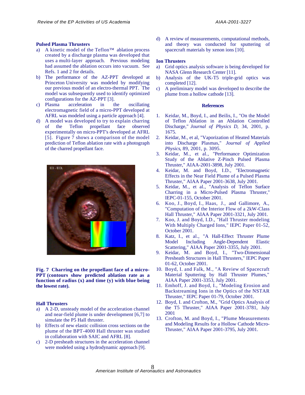## **Pulsed Plasma Thrusters**

- a) A kinetic model of the Teflon™ ablation process created by a discharge plasma was developed that uses a multi-layer approach. Previous modeling had assumed the ablation occurs into vacuum. See Refs. 1 and 2 for details.
- b) The performance of the AZ-PPT developed at Princeton University was modeled by modifying our previous model of an electro-thermal PPT. The model was subsequently used to identify optimized configurations for the AZ-PPT [3].
- c) Plasma acceleration in the oscillating electromagnetic field of a micro-PPT developed at AFRL was modeled using a particle approach [4].
- d) A model was developed to try to explain charring of the Teflon propellant face observed experimentally on micro-PPT's developed at AFRL [5]. Figure 7 shows a comparison of the model prediction of Teflon ablation rate with a photograph of the charred propellant face.



**Fig. 7 Charring on the propellant face of a micro-PPT (contours show predicted ablation rate as a function of radius (x) and time (y) with blue being the lowest rate).**

# **Hall Thrusters**

- a) A 2-D, unsteady model of the acceleration channel and near-field plume is under development [6,7] to simulate the P5 Hall thruster.
- b) Effects of new elastic collision cross sections on the plume of the BPT-4000 Hall thruster was studied in collaboration with SAIC and AFRL [8].
- c) 2-D presheath structures in the acceleration channel were modeled using a hydrodynamic approach [9].

d) A review of measurements, computational methods, and theory was conducted for sputtering of spacecraft materials by xenon ions [10].

#### **Ion Thrusters**

- a) Grid optics analysis software is being developed for NASA Glenn Research Center [11].
- b) Analysis of the UK-T5 triple-grid optics was completed [12].
- c) A preliminary model was developed to describe the plume from a hollow cathode [13].

#### **References**

- 1. Keidar, M., Boyd, I., and Beilis, I., "On the Model of Teflon Ablation in an Ablation Controlled Discharge," *Journal of Physics D*, 34, 2001, p. 1675.
- 2. Keidar, M., et al, "Vaporization of Heated Materials into Discharge Plasmas," *Journal of Applied Physics*, 89, 2001, p. 3095.
- 3. Keidar, M., et al., "Performance Optimization Study of the Ablative Z-Pinch Pulsed Plasma Thruster," AIAA-2001-3898, July 2001.
- 4. Keidar, M. and Boyd, I.D., "Electromagnetic Effects in the Near Field Plume of a Pulsed Plasma Thruster," AIAA Paper 2001-3638, July 2001.
- 5. Keidar, M., et al., "Analysis of Teflon Surface Charring in a Micro-Pulsed Plasma Thruster," IEPC-01-155, October 2001.
- 6. Koo, J., Boyd, I., Haas, J., and Gallimore, A., "Computation of the Interior Flow of a 2kW-Class Hall Thruster," AIAA Paper 2001-3321, July 2001.
- 7. Koo, J. and Boyd, I.D., "Hall Thruster modeling With Multiply Charged Ions," IEPC Paper 01-52, October 2001.
- 8. Katz, I., et al., "A Hall-Effect Thruster Plume Model Including Angle-Dependent Elastic Scattering," AIAA Paper 2001-3355, July 2001.
- 9. Keidar, M. and Boyd, I., "Two-Dimensional Presheath Structures in Hall Thrusters," IEPC Paper 01-62, October 2001.
- 10. Boyd, I. and Falk, M., "A Review of Spacecraft Material Sputtering by Hall Thruster Plumes," AIAA Paper 2001-3353, July 2001.
- 11. Emhoff, J. and Boyd, I., "Modeling Erosion and Backstreaming Ions in the Optics of the NSTAR Thruster," IEPC Paper 01-79, October 2001.
- 12. Boyd, I. and Crofton, M., "Grid Optics Analysis of the T5 Thruster," AIAA Paper 2001-3781, July 2001
- 13. Crofton, M. and Boyd, I., "Plume Measurements and Modeling Results for a Hollow Cathode Micro-Thruster," AIAA Paper 2001-3795, July 2001.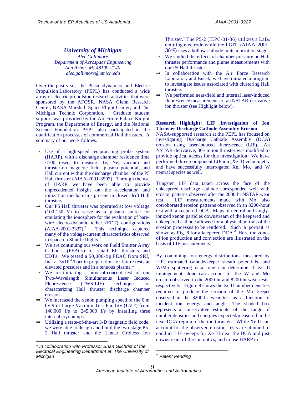# *University of Michigan*

*Alec Gallimore Department of Aerospace Engineering Ann Arbor, MI 48109-2140 alec.gallimore@umich.edu*

Over the past year, the Plasmadynamics and Electric Propulsion Laboratory (PEPL) has conducted a wide array of electric propulsion research activities that were sponsored by the AFOSR, NASA Glenn Research Center, NASA Marshall Space Flight Center, and The Michigan Technic Corporation. Graduate student support was provided by the Air Force Palace Knight Program, the Department of Energy, and the National Science Foundation. PEPL also participated in the qualification processes of commercial Hall thrusters. A summary of our work follows.

Use of a high-speed reciprocating probe system (HARP), with a discharge chamber residence time <100 msec, to measure Te, Ne, vacuum and thruster-on magnetic field, plasma potential, and Hall current within the discharge chamber of the P5 Hall thruster (AIAA-2001-3507). Through the use of HARP we have been able to provide unprecedented insight on the acceleration and ionization mechanisms present in closed-drift Hall thrusters.

Our P5 Hall thruster was operated at low voltage (100-150 V) to serve as a plasma source for emulating the ionosphere for the evaluation of barewire electro-dynamic tether (EDT) configurations (AIAA-2001-3337).\* This technique captured many of the voltage-current characteristics observed in space on Shuttle flights.<sup>1</sup>

We are continuing our work on Field Emitter Array Cathodes (FEACs) for small EP thrusters and EDTs. We tested a 50,000-tip FEAC from SRI, Inc. at  $3x10<sup>-8</sup>$  Torr in preparation for future tests at elevated pressures and in a tenuous plasma.\*

We are initiating a proof-of-concept test of our Two-Wavelength Simultaneous Laser Induced Fluorescence (TWS-LIF) technique for characterizing Hall thruster discharge chamber erosion

We increased the xenon pumping speed of the 6 m by 9 m Large Vacuum Test Facility (LVT) from 140,000 l/s to 245,000 l/s by installing three internal cryopumps.

Utilizing a state-of-the-art 3-D magnetic field code, we were able to design and build the two-stage P5- 2 Hall thruster and the Linear Gridless Ion

j

Thruster.<sup>†</sup> The P5-2 (IEPC-01-36) utilizes a  $LaB<sub>6</sub>$ emitting electrode while the LGIT (AIAA-2001- 3649) uses a hollow-cathode in its ionization stage. We studied the effects of chamber pressure on Hall thruster performance and plume measurements with our P5 Hall thruster.

In collaboration with the Air Force Research Laboratory and Busek, we have initiated a program to investigate issues associated with clustering Hall thrusters.

We performed near-field and internal laser-induced fluorescence measurements of an NSTAR-derivative ion thruster (see Highlight below).

# **Research Highlight: LIF Investigation of Ion Thruster Discharge Cathode Assembly Erosion**

NASA-supported research at the PEPL has focused on investigating Discharge Cathode Assembly (DCA) erosion using laser-induced fluorescence (LIF). An NSTAR-derivative, 30-cm ion thruster was modified to provide optical access for this investigation. We have performed three-component LIF ion (Xe II) velocimetry and have successfully interrogated Xe, Mo, and W neutral species as well.

Tungsten LIF data taken across the face of the unkeepered discharge cathode corresponded well with erosion patterns observed after the 2000-hr NSTAR wear test. LIF measurements made with Mo also corroborated erosion patterns observed in an 8200-hour test with a keepered DCA. Maps of neutral and singlyionized xenon particles downstream of the keepered and unkeepered cathode allowed for a physical portrait of the erosion processes to be rendered. Such a portrait is shown as Fig. 8 for a keepered  $DCA$ <sup>2</sup> Here the zones of ion production and convection are illustrated on the basis of LIF measurements.

By combining ion energy distributions measured by LIF, estimated cathode/keeper sheath potentials, and W/Mo sputtering data, one can determine if Xe II impingement alone can account for the W and Mo erosion observed in the 2000-hr and 8200-hr wear tests, respectively. Figure 9 shows the Xe II number densities required to produce the erosion of the Mo keeper observed in the 8200-hr wear test as a function of incident ion energy and angle. The shaded box represents a conservative estimate of the range of number densities and energies expected/measured in the near-DCA region of the ion thruster. While Xe II can account for the observed erosion, tests are planned to conduct LIF sweeps for Xe III near the DCA and just downstream of the ion optics, and to use HARP to

j

*<sup>\*</sup> In collaboration with Professor Brian Gilchrist of the Electrical Engineering Department at The University of Michigan*

<sup>†</sup> *Patent Pending*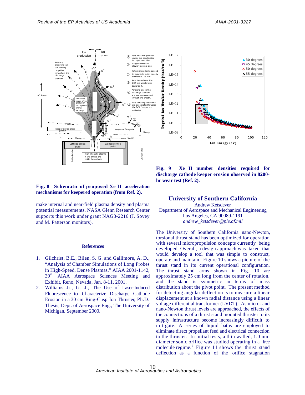

# **Fig. 8 Schematic of proposed Xe II acceleration mechanisms for keepered operation (from Ref. 2).**

make internal and near-field plasma density and plasma potential measurements. NASA Glenn Research Center supports this work under grant NAG3-2216 (J. Sovey and M. Patterson monitors).

#### **References**

- 1. Gilchrist, B.E., Bilen, S. G. and Gallimore, A. D., "Analysis of Chamber Simulations of Long Probes in High-Speed, Dense Plasmas," AIAA 2001-1142, 39<sup>th</sup> AIAA Aerospace Sciences Meeting and Exhibit, Reno, Nevada, Jan. 8-11, 2001.
- 2. Williams Jr., G. J., The Use of Laser-Induced Fluorescence to Characterize Discharge Cathode Erosion in a 30 cm Ring-Cusp Ion Thruster, Ph.D. Thesis, Dept. of Aerospace Eng., The University of Michigan, September 2000.



**Fig. 9 Xe II number densities required for discharge cathode keeper erosion observed in 8200 hr wear test (Ref. 2).**

# **University of Southern California**

Andrew Ketsdever Department of Aerospace and Mechanical Engineering Los Angeles, CA 90089-1191 *andrew\_ketsdever@ple.af.mil*

The University of Southern California nano-Newton, torsional thrust stand has been optimized for operation with several micropropulsion concepts currently being developed. Overall, a design approach was taken that would develop a tool that was simple to construct, operate and maintain. Figure 10 shows a picture of the thrust stand in its current operational configuration. The thrust stand arms shown in Fig. 10 are approximately 25 cm long from the center of rotation, and the stand is symmetric in terms of mass distribution about the pivot point. The present method for detecting angular deflection is to measure a linear displacement at a known radial distance using a linear voltage differential transformer (LVDT). As micro- and nano-Newton thrust levels are approached, the effects of the connections of a thrust stand mounted thruster to its supply infrastructure become increasingly difficult to mitigate. A series of liquid baths are employed to eliminate direct propellant feed and electrical connection to the thruster. In initial tests, a thin walled, 1.0 mm diameter sonic orifice was studied operating in a free molecule regime.<sup>1</sup> Figure 11 shows the thrust stand deflection as a function of the orifice stagnation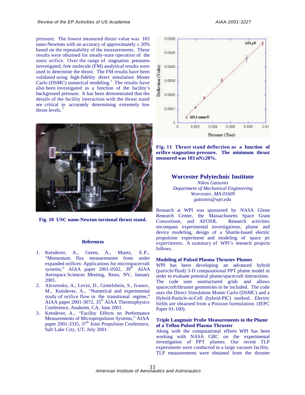pressure. The lowest measured thrust value was 103 nano-Newtons with an accuracy of approximately  $\pm 20\%$ based on the repeatability of the measurements. These results were obtained for steady-state operation of the sonic orifice. Over the range of stagnation pressures investigated, free molecule (FM) analytical results were used to determine the thrust. The FM results have been validated using high-fidelity direct simulation Monte Carlo  $(DSMC)$  numerical modeling.<sup>2</sup> The results have also been investigated as a function of the facility's background pressure. It has been demonstrated that the details of the facility interaction with the thrust stand are critical in accurately determining extremely low thrust levels.<sup>3</sup>



**Fig. 10 USC nano-Newton torsional thrust stand.**

#### **References**

- 1. Ketsdever, A., Green, A., Muntz, E.P., "Momentum flux measurements from under expanded orifices: Applications for microspacecraft systems," AIAA paper 2001-0502,  $39<sup>th</sup>$  AIAA Aerospace Sciences Meeting, Reno, NV, January 2001.
- 2. Alexeenko, A., Levin, D., Gimelshein, S., Ivanov, M., Ketsdever, A., "Numerical and experimental study of orifice flow in the transitional regime," AIAA paper 2001-3072,  $35<sup>th</sup>$  AIAA Thermophysics Conference, Anaheim, CA, June 2001.
- 3. Ketsdever, A., "Facility Effects on Performance Measurements of Micropropulsion Systems," AIAA paper 2001-3335, 37<sup>th</sup> Joint Propulsion Conference, Salt Lake City, UT, July 2001.



**Fig. 11 Thrust stand deflection as a function of orifice stagnation pressure. The minimum thrust measured was 103 nN±20%.**

## **Worcester Polytechnic Institute**

*Nikos Gatsonis Department of Mechanical Engineering Worcester, MA 01609 gatsonis@wpi.edu*

Research at WPI was sponsored by NASA Glenn Research Center, the Massachusetts Space Grant Consortium, and AFOSR. Research activities encompass experimental investigations, plume and device modeling, design of a Shuttle-based electric propulsion experiment and modeling of space jet experiments. A summary of WPI's research projects follows.

#### **Modeling of Pulsed Plasma Thruster Plumes**

WPI has been developing an advanced hybrid (particle/fluid) 3-D computational PPT plume model in order to evaluate potential plume/spacecraft interactions. The code uses unstructured grids and allows spacecraft/thruster geometries to be included. The code uses the Direct Simulation Monte Carlo (DSMC) and a Hybrid-Particle-in-Cell (hybrid-PIC) method. Electric fields are obtained from a Poisson formulation. (IEPC Paper 01-160).

# **Triple Langmuir Probe Measurements in the Plume of a Teflon Pulsed Plasma Thruster**

Along with the computational efforts WPI has been working with NASA GRC on the experimental investigation of PPT plumes. Our recent TLP experiments were conducted in a large vacuum facility. TLP measurements were obtained from the thruster